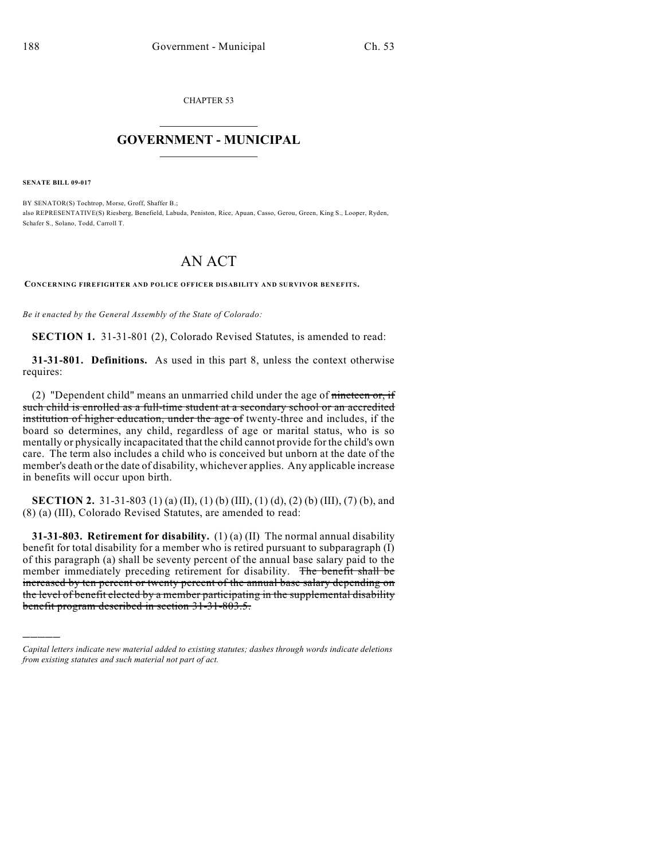CHAPTER 53

## $\mathcal{L}_\text{max}$  . The set of the set of the set of the set of the set of the set of the set of the set of the set of the set of the set of the set of the set of the set of the set of the set of the set of the set of the set **GOVERNMENT - MUNICIPAL**  $\_$

**SENATE BILL 09-017**

)))))

BY SENATOR(S) Tochtrop, Morse, Groff, Shaffer B.; also REPRESENTATIVE(S) Riesberg, Benefield, Labuda, Peniston, Rice, Apuan, Casso, Gerou, Green, King S., Looper, Ryden, Schafer S., Solano, Todd, Carroll T.

## AN ACT

**CONCERNING FIREFIGHTER AND POLICE OFFICER DISABILITY AND SURVIVOR BENEFITS.**

*Be it enacted by the General Assembly of the State of Colorado:*

**SECTION 1.** 31-31-801 (2), Colorado Revised Statutes, is amended to read:

**31-31-801. Definitions.** As used in this part 8, unless the context otherwise requires:

(2) "Dependent child" means an unmarried child under the age of  $\frac{1}{2}$  mineteen or, if such child is enrolled as a full-time student at a secondary school or an accredited institution of higher education, under the age of twenty-three and includes, if the board so determines, any child, regardless of age or marital status, who is so mentally or physically incapacitated that the child cannot provide for the child's own care. The term also includes a child who is conceived but unborn at the date of the member's death or the date of disability, whichever applies. Any applicable increase in benefits will occur upon birth.

**SECTION 2.** 31-31-803 (1) (a) (II), (1) (b) (III), (1) (d), (2) (b) (III), (7) (b), and (8) (a) (III), Colorado Revised Statutes, are amended to read:

**31-31-803. Retirement for disability.** (1) (a) (II) The normal annual disability benefit for total disability for a member who is retired pursuant to subparagraph (I) of this paragraph (a) shall be seventy percent of the annual base salary paid to the member immediately preceding retirement for disability. The benefit shall be increased by ten percent or twenty percent of the annual base salary depending on the level of benefit elected by a member participating in the supplemental disability benefit program described in section 31-31-803.5.

*Capital letters indicate new material added to existing statutes; dashes through words indicate deletions from existing statutes and such material not part of act.*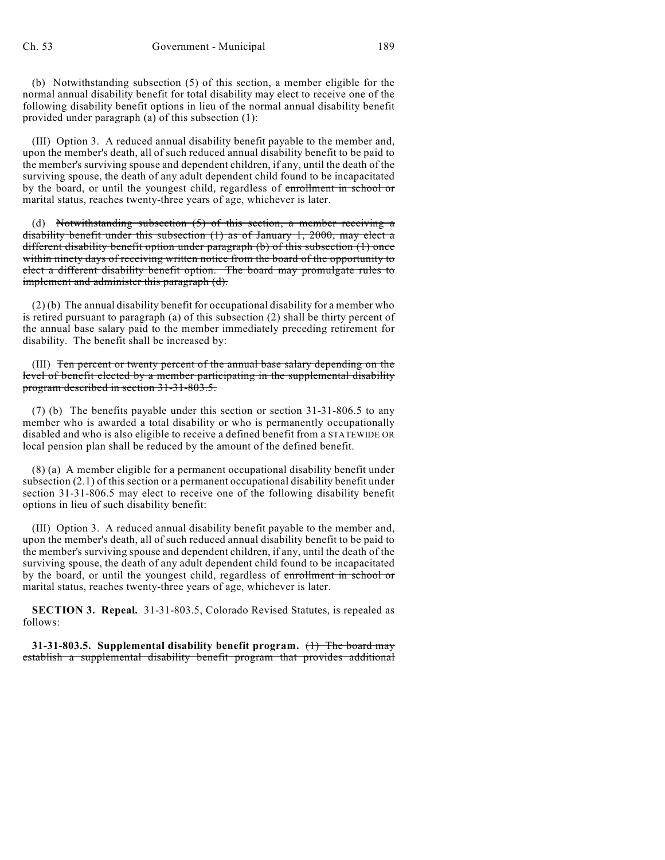(b) Notwithstanding subsection (5) of this section, a member eligible for the normal annual disability benefit for total disability may elect to receive one of the following disability benefit options in lieu of the normal annual disability benefit provided under paragraph (a) of this subsection (1):

(III) Option 3. A reduced annual disability benefit payable to the member and, upon the member's death, all of such reduced annual disability benefit to be paid to the member's surviving spouse and dependent children, if any, until the death of the surviving spouse, the death of any adult dependent child found to be incapacitated by the board, or until the youngest child, regardless of enrollment in school or marital status, reaches twenty-three years of age, whichever is later.

(d) Notwithstanding subsection  $(5)$  of this section, a member receiving a disability benefit under this subsection (1) as of January 1, 2000, may elect a different disability benefit option under paragraph (b) of this subsection (1) once within ninety days of receiving written notice from the board of the opportunity to elect a different disability benefit option. The board may promulgate rules to implement and administer this paragraph (d).

(2) (b) The annual disability benefit for occupational disability for a member who is retired pursuant to paragraph (a) of this subsection (2) shall be thirty percent of the annual base salary paid to the member immediately preceding retirement for disability. The benefit shall be increased by:

(III) Ten percent or twenty percent of the annual base salary depending on the level of benefit elected by a member participating in the supplemental disability program described in section 31-31-803.5.

(7) (b) The benefits payable under this section or section 31-31-806.5 to any member who is awarded a total disability or who is permanently occupationally disabled and who is also eligible to receive a defined benefit from a STATEWIDE OR local pension plan shall be reduced by the amount of the defined benefit.

(8) (a) A member eligible for a permanent occupational disability benefit under subsection (2.1) of this section or a permanent occupational disability benefit under section 31-31-806.5 may elect to receive one of the following disability benefit options in lieu of such disability benefit:

(III) Option 3. A reduced annual disability benefit payable to the member and, upon the member's death, all of such reduced annual disability benefit to be paid to the member's surviving spouse and dependent children, if any, until the death of the surviving spouse, the death of any adult dependent child found to be incapacitated by the board, or until the youngest child, regardless of enrollment in school or marital status, reaches twenty-three years of age, whichever is later.

**SECTION 3. Repeal.** 31-31-803.5, Colorado Revised Statutes, is repealed as follows:

**31-31-803.5. Supplemental disability benefit program.** (1) The board may establish a supplemental disability benefit program that provides additional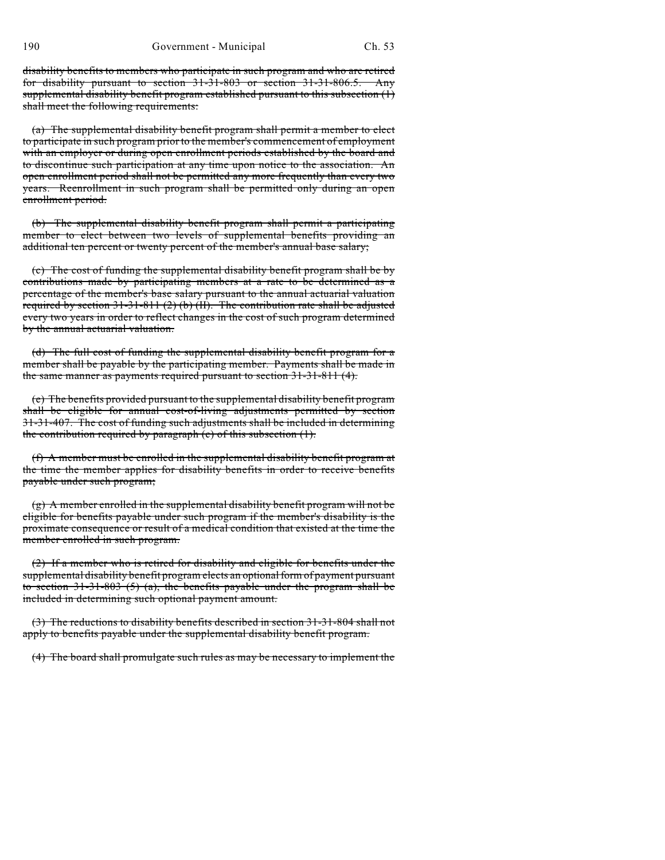disability benefits to members who participate in such program and who are retired for disability pursuant to section 31-31-803 or section 31-31-806.5. Any supplemental disability benefit program established pursuant to this subsection (1) shall meet the following requirements:

(a) The supplemental disability benefit program shall permit a member to elect to participate in such program prior to the member's commencement of employment with an employer or during open enrollment periods established by the board and to discontinue such participation at any time upon notice to the association. An open enrollment period shall not be permitted any more frequently than every two years. Reenrollment in such program shall be permitted only during an open enrollment period.

(b) The supplemental disability benefit program shall permit a participating member to elect between two levels of supplemental benefits providing an additional ten percent or twenty percent of the member's annual base salary;

(c) The cost of funding the supplemental disability benefit program shall be by contributions made by participating members at a rate to be determined as a percentage of the member's base salary pursuant to the annual actuarial valuation required by section  $31-31-811$  (2) (b) (II). The contribution rate shall be adjusted every two years in order to reflect changes in the cost of such program determined by the annual actuarial valuation.

(d) The full cost of funding the supplemental disability benefit program for a member shall be payable by the participating member. Payments shall be made in the same manner as payments required pursuant to section 31-31-811 (4).

(e) The benefits provided pursuant to the supplemental disability benefit program shall be eligible for annual cost-of-living adjustments permitted by section 31-31-407. The cost of funding such adjustments shall be included in determining the contribution required by paragraph (c) of this subsection (1).

(f) A member must be enrolled in the supplemental disability benefit program at the time the member applies for disability benefits in order to receive benefits payable under such program;

(g) A member enrolled in the supplemental disability benefit program will not be eligible for benefits payable under such program if the member's disability is the proximate consequence or result of a medical condition that existed at the time the member enrolled in such program.

(2) If a member who is retired for disability and eligible for benefits under the supplemental disability benefit program elects an optional form of payment pursuant to section  $31-31-803$  (5) (a), the benefits payable under the program shall be included in determining such optional payment amount.

(3) The reductions to disability benefits described in section 31-31-804 shall not apply to benefits payable under the supplemental disability benefit program.

(4) The board shall promulgate such rules as may be necessary to implement the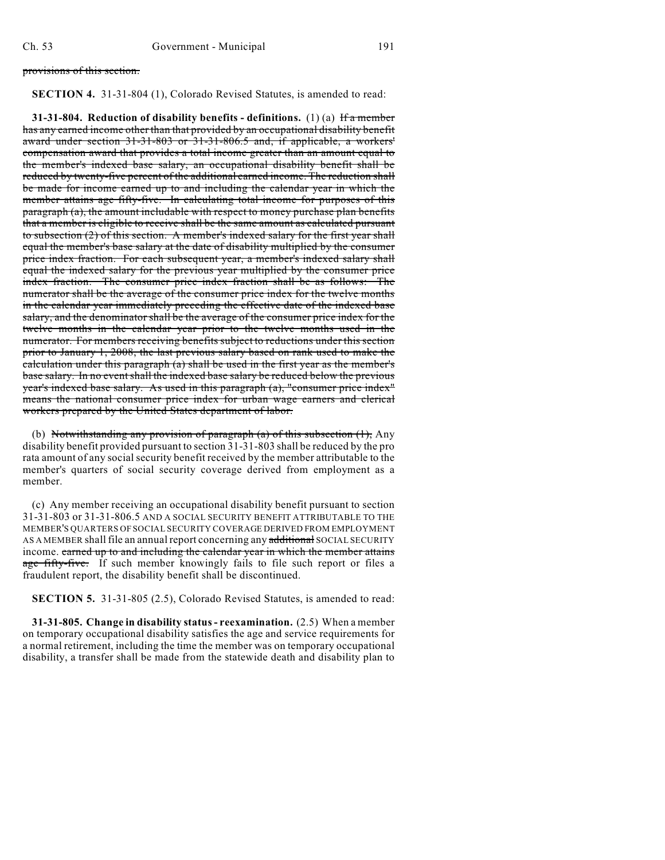provisions of this section.

## **SECTION 4.** 31-31-804 (1), Colorado Revised Statutes, is amended to read:

**31-31-804. Reduction of disability benefits - definitions.** (1) (a) If a member has any earned income other than that provided by an occupational disability benefit award under section 31-31-803 or 31-31-806.5 and, if applicable, a workers' compensation award that provides a total income greater than an amount equal to the member's indexed base salary, an occupational disability benefit shall be reduced by twenty-five percent of the additional earned income. The reduction shall be made for income earned up to and including the calendar year in which the member attains age fifty-five. In calculating total income for purposes of this paragraph (a), the amount includable with respect to money purchase plan benefits that a member is eligible to receive shall be the same amount as calculated pursuant to subsection (2) of this section. A member's indexed salary for the first year shall equal the member's base salary at the date of disability multiplied by the consumer price index fraction. For each subsequent year, a member's indexed salary shall equal the indexed salary for the previous year multiplied by the consumer price index fraction. The consumer price index fraction shall be as follows: The numerator shall be the average of the consumer price index for the twelve months in the calendar year immediately preceding the effective date of the indexed base salary, and the denominator shall be the average of the consumer price index for the twelve months in the calendar year prior to the twelve months used in the numerator. For members receiving benefits subject to reductions under this section prior to January 1, 2008, the last previous salary based on rank used to make the calculation under this paragraph (a) shall be used in the first year as the member's base salary. In no event shall the indexed base salary be reduced below the previous year's indexed base salary. As used in this paragraph (a), "consumer price index" means the national consumer price index for urban wage earners and clerical workers prepared by the United States department of labor.

(b) Notwithstanding any provision of paragraph  $(a)$  of this subsection  $(1)$ , Any disability benefit provided pursuant to section 31-31-803 shall be reduced by the pro rata amount of any social security benefit received by the member attributable to the member's quarters of social security coverage derived from employment as a member.

(c) Any member receiving an occupational disability benefit pursuant to section 31-31-803 or 31-31-806.5 AND A SOCIAL SECURITY BENEFIT ATTRIBUTABLE TO THE MEMBER'S QUARTERS OF SOCIAL SECURITY COVERAGE DERIVED FROM EMPLOYMENT AS A MEMBER shall file an annual report concerning any additional SOCIAL SECURITY income. earned up to and including the calendar year in which the member attains age fifty-five. If such member knowingly fails to file such report or files a fraudulent report, the disability benefit shall be discontinued.

**SECTION 5.** 31-31-805 (2.5), Colorado Revised Statutes, is amended to read:

**31-31-805. Change in disability status - reexamination.** (2.5) When a member on temporary occupational disability satisfies the age and service requirements for a normal retirement, including the time the member was on temporary occupational disability, a transfer shall be made from the statewide death and disability plan to